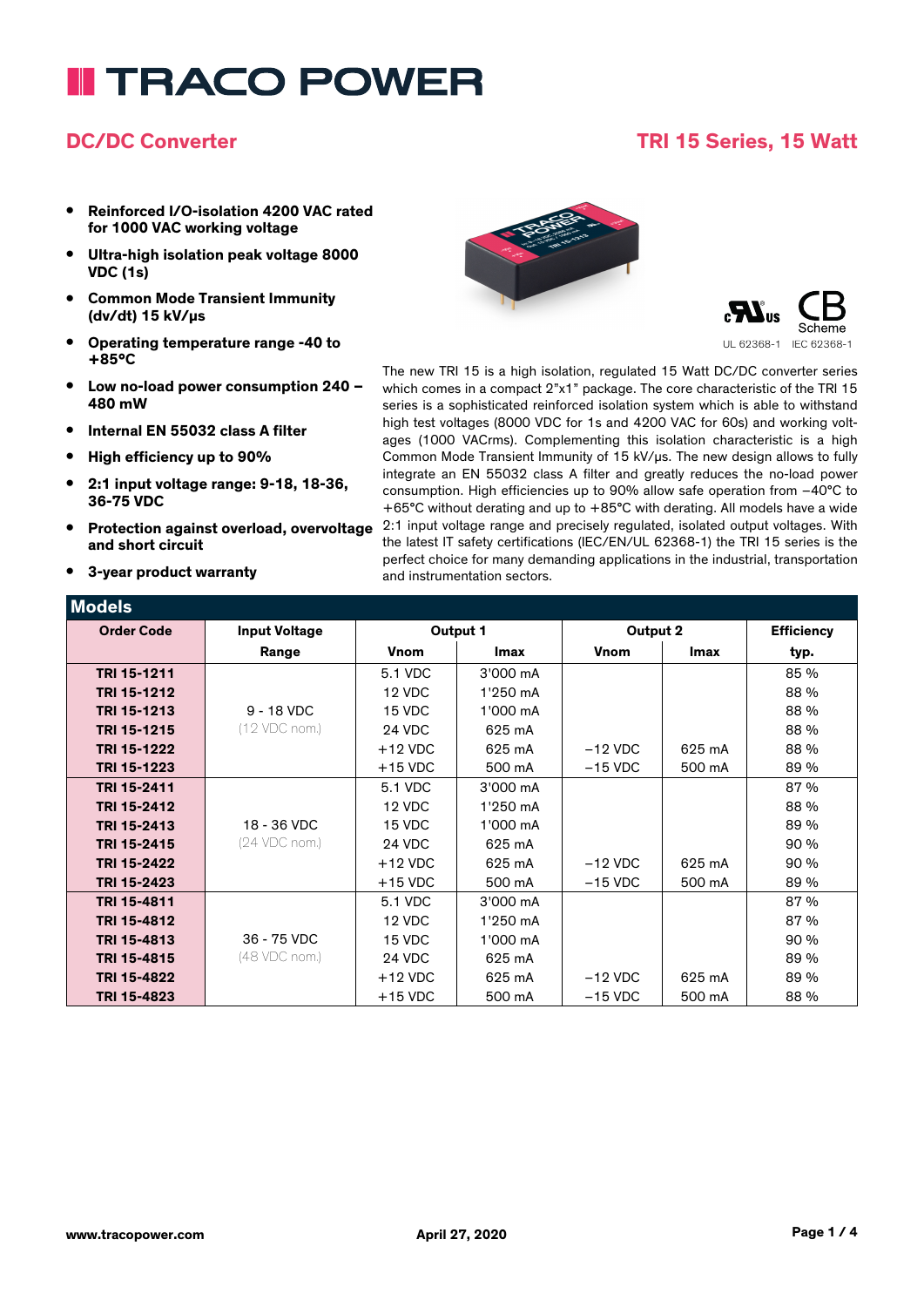# **I TRACO POWER**

### **DC/DC Converter TRI 15 Series, 15 Watt**

- **• Reinforced I/O-isolation 4200 VAC rated for 1000 VAC working voltage**
- **• Ultra-high isolation peak voltage 8000 VDC (1s)**
- **• Common Mode Transient Immunity (dv/dt) 15 kV/µs**
- **• Operating temperature range -40 to +85°C**
- **• Low no-load power consumption 240 – 480 mW**
- **• Internal EN 55032 class A filter**
- **• High efficiency up to 90%**
- **• 2:1 input voltage range: 9-18, 18-36, 36-75 VDC**
- **• Protection against overload, overvoltage and short circuit**
- **• 3-year product warranty**





The new TRI 15 is a high isolation, regulated 15 Watt DC/DC converter series which comes in a compact 2"x1" package. The core characteristic of the TRI 15 series is a sophisticated reinforced isolation system which is able to withstand high test voltages (8000 VDC for 1s and 4200 VAC for 60s) and working voltages (1000 VACrms). Complementing this isolation characteristic is a high Common Mode Transient Immunity of 15 kV/µs. The new design allows to fully integrate an EN 55032 class A filter and greatly reduces the no-load power consumption. High efficiencies up to 90% allow safe operation from –40°C to +65°C without derating and up to +85°C with derating. All models have a wide 2:1 input voltage range and precisely regulated, isolated output voltages. With the latest IT safety certifications (IEC/EN/UL 62368-1) the TRI 15 series is the perfect choice for many demanding applications in the industrial, transportation and instrumentation sectors.

| <b>Models</b>     |                      |             |             |             |        |                   |
|-------------------|----------------------|-------------|-------------|-------------|--------|-------------------|
| <b>Order Code</b> | <b>Input Voltage</b> |             | Output 1    | Output 2    |        | <b>Efficiency</b> |
|                   | Range                | <b>Vnom</b> | <b>Imax</b> | <b>Vnom</b> | Imax   | typ.              |
| TRI 15-1211       |                      | 5.1 VDC     | 3'000 mA    |             |        | 85 %              |
| TRI 15-1212       |                      | 12 VDC      | 1'250 mA    |             |        | 88 %              |
| TRI 15-1213       | $9 - 18$ VDC         | 15 VDC      | 1'000 mA    |             |        | 88 %              |
| TRI 15-1215       | (12 VDC nom.)        | 24 VDC      | 625 mA      |             |        | 88 %              |
| TRI 15-1222       |                      | $+12$ VDC   | 625 mA      | $-12$ VDC   | 625 mA | 88 %              |
| TRI 15-1223       |                      | $+15$ VDC   | 500 mA      | $-15$ VDC   | 500 mA | 89 %              |
| TRI 15-2411       |                      | 5.1 VDC     | 3'000 mA    |             |        | 87%               |
| TRI 15-2412       |                      | 12 VDC      | 1'250 mA    |             |        | 88 %              |
| TRI 15-2413       | 18 - 36 VDC          | 15 VDC      | 1'000 mA    |             |        | 89 %              |
| TRI 15-2415       | (24 VDC nom.)        | 24 VDC      | 625 mA      |             |        | 90 %              |
| TRI 15-2422       |                      | $+12$ VDC   | 625 mA      | $-12$ VDC   | 625 mA | 90 %              |
| TRI 15-2423       |                      | $+15$ VDC   | 500 mA      | $-15$ VDC   | 500 mA | 89 %              |
| TRI 15-4811       |                      | 5.1 VDC     | 3'000 mA    |             |        | 87%               |
| TRI 15-4812       |                      | 12 VDC      | 1'250 mA    |             |        | 87%               |
| TRI 15-4813       | 36 - 75 VDC          | 15 VDC      | 1'000 mA    |             |        | 90 %              |
| TRI 15-4815       | (48 VDC nom.)        | 24 VDC      | 625 mA      |             |        | 89 %              |
| TRI 15-4822       |                      | $+12$ VDC   | 625 mA      | $-12$ VDC   | 625 mA | 89 %              |
| TRI 15-4823       |                      | $+15$ VDC   | 500 mA      | $-15$ VDC   | 500 mA | 88 %              |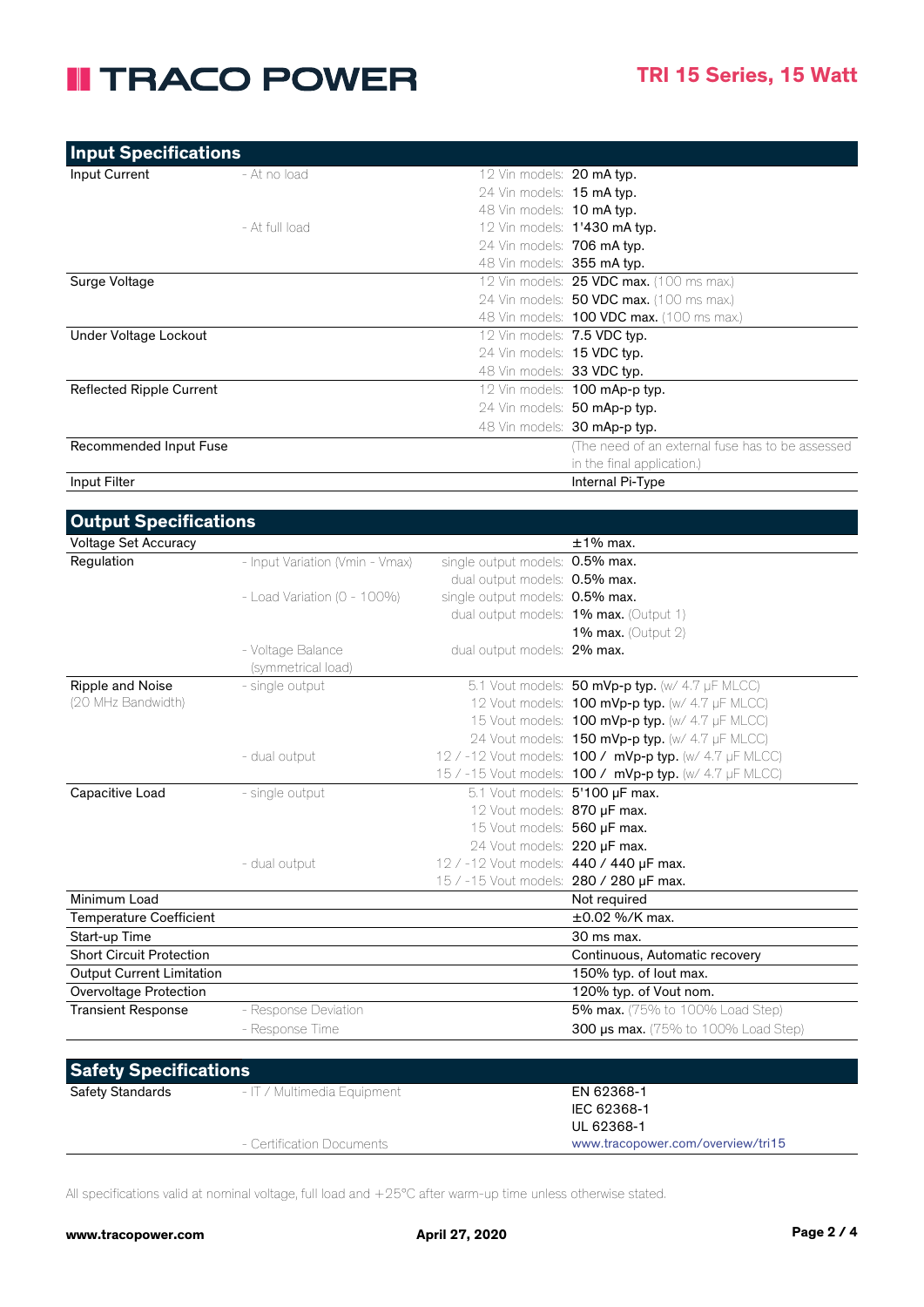### **II TRACO POWER**

| <b>Input Specifications</b>     |                |                                   |                                                  |
|---------------------------------|----------------|-----------------------------------|--------------------------------------------------|
| Input Current                   | - At no load   | 12 Vin models: 20 mA typ.         |                                                  |
|                                 |                | 24 Vin models: 15 mA typ.         |                                                  |
|                                 |                | 48 Vin models: 10 mA typ.         |                                                  |
|                                 | - At full load |                                   | 12 Vin models: <b>1'430 mA typ.</b>              |
|                                 |                | 24 Vin models: 706 mA typ.        |                                                  |
|                                 |                | 48 Vin models: <b>355 mA typ.</b> |                                                  |
| Surge Voltage                   |                |                                   | 12 Vin models: 25 VDC max. (100 ms max.)         |
|                                 |                |                                   | 24 Vin models: 50 VDC max. (100 ms max.)         |
|                                 |                |                                   | 48 Vin models: <b>100 VDC max.</b> (100 ms max.) |
| Under Voltage Lockout           |                | 12 Vin models: 7.5 VDC typ.       |                                                  |
|                                 |                | 24 Vin models: <b>15 VDC typ.</b> |                                                  |
|                                 |                | 48 Vin models: 33 VDC typ.        |                                                  |
| <b>Reflected Ripple Current</b> |                |                                   | 12 Vin models: 100 mAp-p typ.                    |
|                                 |                |                                   | 24 Vin models: 50 mAp-p typ.                     |
|                                 |                |                                   | 48 Vin models: 30 mAp-p typ.                     |
| Recommended Input Fuse          |                |                                   | (The need of an external fuse has to be assessed |
|                                 |                |                                   | in the final application.)                       |
| Input Filter                    |                |                                   | Internal Pi-Type                                 |

| <b>Output Specifications</b>     |                                  |                                         |                                                                |
|----------------------------------|----------------------------------|-----------------------------------------|----------------------------------------------------------------|
| <b>Voltage Set Accuracy</b>      |                                  |                                         | $\pm$ 1% max.                                                  |
| Regulation                       | - Input Variation (Vmin - Vmax)  | single output models: 0.5% max.         |                                                                |
|                                  |                                  | dual output models: 0.5% max.           |                                                                |
|                                  | - Load Variation ( $0 - 100\%$ ) | single output models: 0.5% max.         |                                                                |
|                                  |                                  |                                         | dual output models: 1% max. (Output 1)                         |
|                                  |                                  |                                         | 1% max. (Output $2$ )                                          |
|                                  | - Voltage Balance                | dual output models: 2% max.             |                                                                |
|                                  | (symmetrical load)               |                                         |                                                                |
| Ripple and Noise                 | - single output                  |                                         | 5.1 Vout models: 50 mVp-p typ. (w/ 4.7 µF MLCC)                |
| (20 MHz Bandwidth)               |                                  |                                         | 12 Vout models: 100 mVp-p typ. (w/ 4.7 µF MLCC)                |
|                                  |                                  |                                         | 15 Vout models: 100 mVp-p typ. (w/ 4.7 µF MLCC)                |
|                                  |                                  |                                         | 24 Vout models: 150 mVp-p typ. (w/ 4.7 µF MLCC)                |
|                                  | - dual output                    |                                         | 12 / -12 Vout models: <b>100 / mVp-p typ.</b> (w/ 4.7 µF MLCC) |
|                                  |                                  |                                         | 15 / -15 Vout models: 100 / mVp-p typ. (w/ 4.7 µF MLCC)        |
| Capacitive Load                  | - single output                  | 5.1 Vout models: 5'100 µF max.          |                                                                |
|                                  |                                  | 12 Vout models: 870 uF max.             |                                                                |
|                                  |                                  | 15 Vout models: 560 uF max.             |                                                                |
|                                  |                                  | 24 Vout models: 220 µF max.             |                                                                |
|                                  | - dual output                    | 12 / -12 Vout models: 440 / 440 µF max. |                                                                |
|                                  |                                  | 15 / -15 Vout models: 280 / 280 µF max. |                                                                |
| Minimum Load                     |                                  |                                         | Not required                                                   |
| <b>Temperature Coefficient</b>   |                                  |                                         | $\pm 0.02$ %/K max.                                            |
| Start-up Time                    |                                  |                                         | 30 ms max.                                                     |
| <b>Short Circuit Protection</b>  |                                  |                                         | Continuous, Automatic recovery                                 |
| <b>Output Current Limitation</b> |                                  |                                         | 150% typ. of lout max.                                         |
| Overvoltage Protection           |                                  |                                         | 120% typ. of Vout nom.                                         |
| <b>Transient Response</b>        | - Response Deviation             |                                         | <b>5% max.</b> (75% to 100% Load Step)                         |
|                                  | - Response Time                  |                                         | <b>300 us max.</b> (75% to 100% Load Step)                     |
|                                  |                                  |                                         |                                                                |

| <b>Safety Specifications</b> |                             |                                   |  |
|------------------------------|-----------------------------|-----------------------------------|--|
| Safety Standards             | - IT / Multimedia Equipment | EN 62368-1                        |  |
|                              |                             | IEC 62368-1                       |  |
|                              |                             | UL 62368-1                        |  |
|                              | - Certification Documents   | www.tracopower.com/overview/tri15 |  |

All specifications valid at nominal voltage, full load and +25°C after warm-up time unless otherwise stated.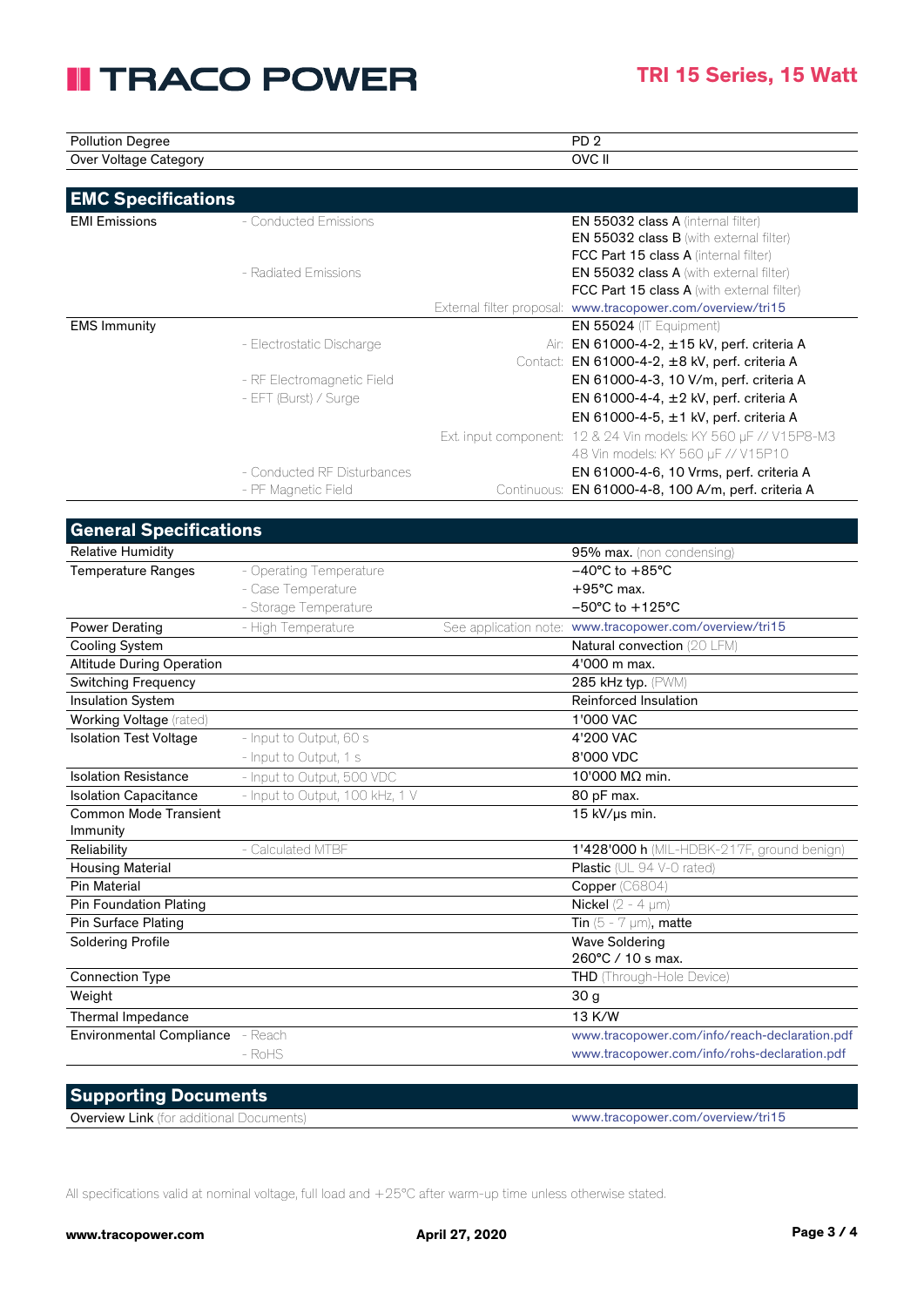## **II TRACO POWER**

| $\overline{\phantom{0}}$               | DD                   |  |
|----------------------------------------|----------------------|--|
| Pollutior.<br>Degree                   | . U<br>-             |  |
| Voltage<br>Over .<br>`ategory<br><br>ີ | <b>OVC</b><br>7 V II |  |

| <b>EMC Specifications</b> |                             |             |                                                                 |
|---------------------------|-----------------------------|-------------|-----------------------------------------------------------------|
| <b>EMI Emissions</b>      | - Conducted Emissions       |             | <b>EN 55032 class A (internal filter)</b>                       |
|                           |                             |             | <b>EN 55032 class B</b> (with external filter)                  |
|                           |                             |             | FCC Part 15 class A (internal filter)                           |
|                           | - Radiated Emissions        |             | <b>EN 55032 class A</b> (with external filter)                  |
|                           |                             |             | <b>FCC Part 15 class A</b> (with external filter)               |
|                           |                             |             | External filter proposal: www.tracopower.com/overview/tri15     |
| <b>EMS Immunity</b>       |                             |             | <b>EN 55024</b> (IT Equipment)                                  |
|                           | - Electrostatic Discharge   |             | Air: EN 61000-4-2, ±15 kV, perf. criteria A                     |
|                           |                             |             | Contact: EN 61000-4-2, ±8 kV, perf. criteria A                  |
|                           | - RF Electromagnetic Field  |             | EN 61000-4-3, 10 V/m, perf. criteria A                          |
|                           | - EFT (Burst) / Surge       |             | EN 61000-4-4, $\pm$ 2 kV, perf. criteria A                      |
|                           |                             |             | EN 61000-4-5, $\pm$ 1 kV, perf. criteria A                      |
|                           |                             |             | Ext. input component: 12 & 24 Vin models: KY 560 µF // V15P8-M3 |
|                           |                             |             | 48 Vin models: KY 560 µF // V15P10                              |
|                           | - Conducted RF Disturbances |             | EN 61000-4-6, 10 Vrms, perf. criteria A                         |
|                           | - PF Magnetic Field         | Continuous: | EN 61000-4-8, 100 A/m, perf. criteria A                         |

| <b>General Specifications</b>    |                                 |                                                         |
|----------------------------------|---------------------------------|---------------------------------------------------------|
| <b>Relative Humidity</b>         |                                 | 95% max. (non condensing)                               |
| <b>Temperature Ranges</b>        | - Operating Temperature         | $-40^{\circ}$ C to $+85^{\circ}$ C                      |
|                                  | - Case Temperature              | $+95^{\circ}$ C max.                                    |
|                                  | - Storage Temperature           | $-50^{\circ}$ C to $+125^{\circ}$ C                     |
| <b>Power Derating</b>            | - High Temperature              | See application note: www.tracopower.com/overview/tri15 |
| <b>Cooling System</b>            |                                 | Natural convection (20 LFM)                             |
| <b>Altitude During Operation</b> |                                 | 4'000 m max.                                            |
| <b>Switching Frequency</b>       |                                 | 285 kHz typ. (PWM)                                      |
| <b>Insulation System</b>         |                                 | Reinforced Insulation                                   |
| Working Voltage (rated)          |                                 | 1'000 VAC                                               |
| <b>Isolation Test Voltage</b>    | - Input to Output, 60 s         | 4'200 VAC                                               |
|                                  | - Input to Output, 1 s          | 8'000 VDC                                               |
| <b>Isolation Resistance</b>      | - Input to Output, 500 VDC      | 10'000 MΩ min.                                          |
| <b>Isolation Capacitance</b>     | - Input to Output, 100 kHz, 1 V | 80 pF max.                                              |
| <b>Common Mode Transient</b>     |                                 | 15 kV/µs min.                                           |
| Immunity                         |                                 |                                                         |
| Reliability                      | - Calculated MTBF               | 1'428'000 h (MIL-HDBK-217F, ground benign)              |
| <b>Housing Material</b>          |                                 | Plastic (UL 94 V-0 rated)                               |
| <b>Pin Material</b>              |                                 | Copper (C6804)                                          |
| <b>Pin Foundation Plating</b>    |                                 | Nickel ( $2 - 4 \mu m$ )                                |
| Pin Surface Plating              |                                 | Tin $(5 - 7 \mu m)$ , matte                             |
| <b>Soldering Profile</b>         |                                 | <b>Wave Soldering</b>                                   |
|                                  |                                 | 260°C / 10 s max.                                       |
| <b>Connection Type</b>           |                                 | THD (Through-Hole Device)                               |
| Weight                           |                                 | 30 g                                                    |
| Thermal Impedance                |                                 | 13 K/W                                                  |
| Environmental Compliance - Reach |                                 | www.tracopower.com/info/reach-declaration.pdf           |
|                                  | $-$ RoHS                        | www.tracopower.com/info/rohs-declaration.pdf            |
|                                  |                                 |                                                         |

| <b>Supporting Documents</b>                     |                                   |
|-------------------------------------------------|-----------------------------------|
| <b>Overview Link</b> (for additional Documents) | www.tracopower.com/overview/tri15 |

All specifications valid at nominal voltage, full load and +25°C after warm-up time unless otherwise stated.